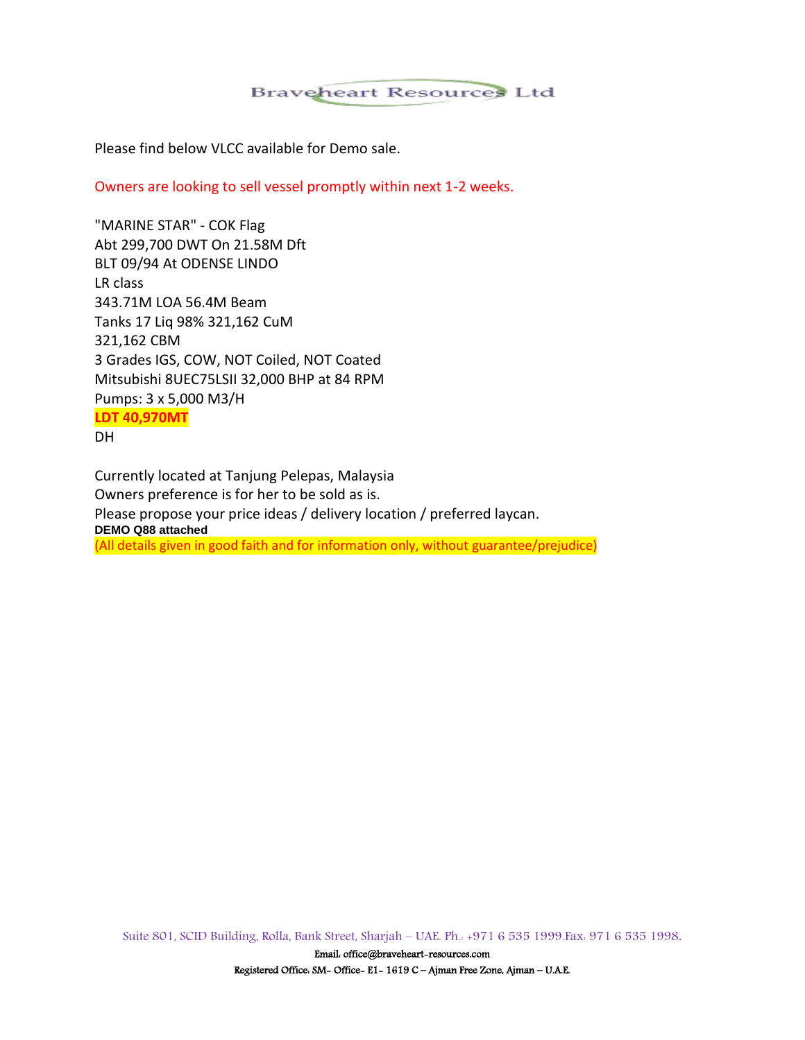## **Braveheart Resources Ltd**

Please find below VLCC available for Demo sale.

Owners are looking to sell vessel promptly within next 1-2 weeks.

"MARINE STAR" - COK Flag Abt 299,700 DWT On 21.58M Dft BLT 09/94 At ODENSE LINDO LR class 343.71M LOA 56.4M Beam Tanks 17 Liq 98% 321,162 CuM 321,162 CBM 3 Grades IGS, COW, NOT Coiled, NOT Coated Mitsubishi 8UEC75LSII 32,000 BHP at 84 RPM Pumps: 3 x 5,000 M3/H **LDT 40,970MT** DH

Currently located at Tanjung Pelepas, Malaysia Owners preference is for her to be sold as is. Please propose your price ideas / delivery location / preferred laycan. **DEMO Q88 attached** (All details given in good faith and for information only, without guarantee/prejudice)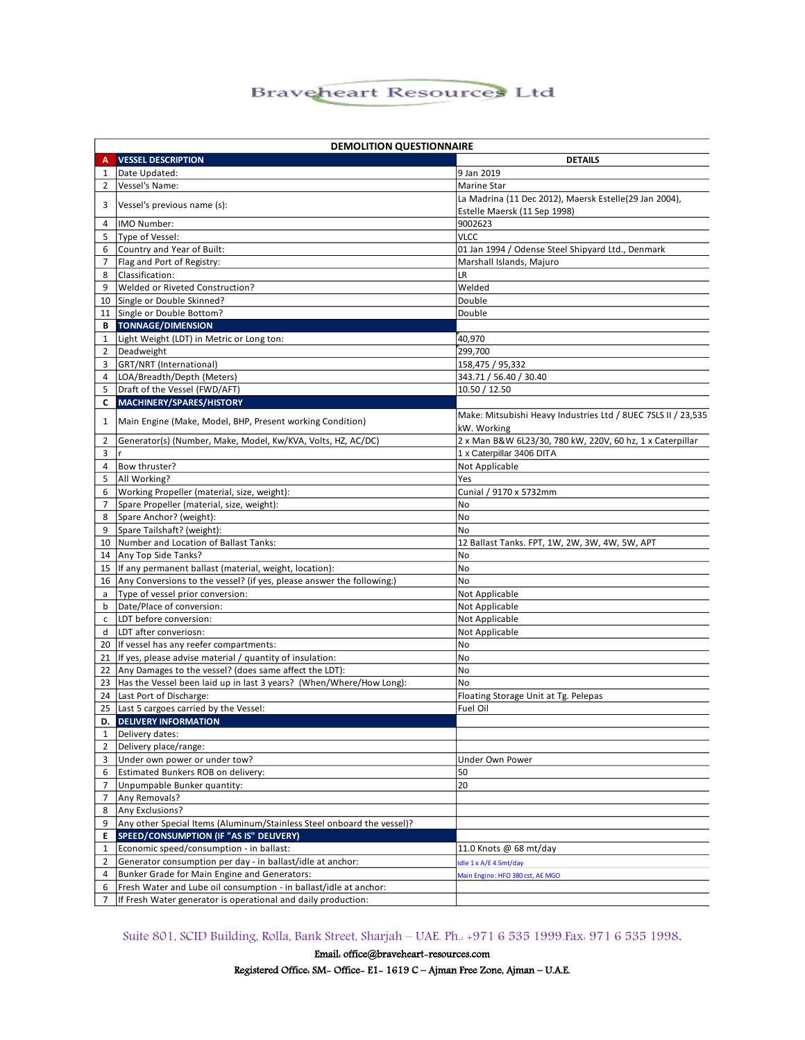## **Braveheart Resources Ltd**

| <b>DEMOLITION QUESTIONNAIRE</b> |                                                                          |                                                                              |
|---------------------------------|--------------------------------------------------------------------------|------------------------------------------------------------------------------|
| Α                               | <b>VESSEL DESCRIPTION</b>                                                | <b>DETAILS</b>                                                               |
| 1                               | Date Updated:                                                            | 9 Jan 2019                                                                   |
| 2                               | Vessel's Name:                                                           | Marine Star                                                                  |
|                                 |                                                                          | La Madrina (11 Dec 2012), Maersk Estelle(29 Jan 2004),                       |
| 3                               | Vessel's previous name (s):                                              | Estelle Maersk (11 Sep 1998)                                                 |
| 4                               | IMO Number:                                                              | 9002623                                                                      |
| 5                               | Type of Vessel:                                                          | <b>VLCC</b>                                                                  |
| 6                               | Country and Year of Built:                                               | 01 Jan 1994 / Odense Steel Shipyard Ltd., Denmark                            |
| $\overline{7}$                  | Flag and Port of Registry:                                               | Marshall Islands, Majuro                                                     |
| 8                               | Classification:                                                          | LR                                                                           |
| 9                               | Welded or Riveted Construction?                                          | Welded                                                                       |
| 10                              | Single or Double Skinned?                                                | Double                                                                       |
|                                 | 11 Single or Double Bottom?                                              | Double                                                                       |
| В                               | <b>TONNAGE/DIMENSION</b>                                                 |                                                                              |
| 1                               | Light Weight (LDT) in Metric or Long ton:                                | 40,970                                                                       |
| 2                               | Deadweight                                                               | 299,700                                                                      |
| 3                               | GRT/NRT (International)                                                  | 158,475 / 95,332                                                             |
| 4                               | LOA/Breadth/Depth (Meters)                                               | 343.71 / 56.40 / 30.40                                                       |
| 5.                              | Draft of the Vessel (FWD/AFT)                                            | 10.50 / 12.50                                                                |
| C                               | <b>MACHINERY/SPARES/HISTORY</b>                                          |                                                                              |
| 1                               | Main Engine (Make, Model, BHP, Present working Condition)                | Make: Mitsubishi Heavy Industries Ltd / 8UEC 7SLS II / 23,535<br>kW. Working |
| 2                               | Generator(s) (Number, Make, Model, Kw/KVA, Volts, HZ, AC/DC)             | 2 x Man B&W 6L23/30, 780 kW, 220V, 60 hz, 1 x Caterpillar                    |
| 3                               |                                                                          | 1 x Caterpillar 3406 DITA                                                    |
| 4                               | Bow thruster?                                                            | Not Applicable                                                               |
| 5                               | All Working?                                                             | Yes                                                                          |
| 6                               | Working Propeller (material, size, weight):                              | Cunial / 9170 x 5732mm                                                       |
| $\overline{7}$                  | Spare Propeller (material, size, weight):                                | <b>No</b>                                                                    |
| 8                               | Spare Anchor? (weight):                                                  | No                                                                           |
| 9                               | Spare Tailshaft? (weight):                                               | No                                                                           |
| 10                              | Number and Location of Ballast Tanks:                                    | 12 Ballast Tanks. FPT, 1W, 2W, 3W, 4W, 5W, APT                               |
| 14                              | Any Top Side Tanks?                                                      | No                                                                           |
| 15                              | If any permanent ballast (material, weight, location):                   | No                                                                           |
|                                 | 16 Any Conversions to the vessel? (if yes, please answer the following:) | No                                                                           |
| a                               | Type of vessel prior conversion:                                         | Not Applicable                                                               |
| b                               | Date/Place of conversion:                                                | Not Applicable                                                               |
| c                               | LDT before conversion:                                                   | Not Applicable                                                               |
| d                               | LDT after converiosn:                                                    | Not Applicable                                                               |
|                                 | 20 If vessel has any reefer compartments:                                | No                                                                           |
|                                 | 21 If yes, please advise material / quantity of insulation:              | No                                                                           |
|                                 | 22 Any Damages to the vessel? (does same affect the LDT):                | No                                                                           |
|                                 | 23 Has the Vessel been laid up in last 3 years? (When/Where/How Long):   | No                                                                           |
|                                 | 24 Last Port of Discharge:                                               | Floating Storage Unit at Tg. Pelepas                                         |
|                                 | 25 Last 5 cargoes carried by the Vessel:                                 | Fuel Oil                                                                     |
| D.                              | <b>DELIVERY INFORMATION</b>                                              |                                                                              |
| 1                               | Delivery dates:                                                          |                                                                              |
| $\overline{2}$                  | Delivery place/range:                                                    |                                                                              |
| 3                               | Under own power or under tow?                                            | Under Own Power                                                              |
| 6                               | Estimated Bunkers ROB on delivery:                                       | 50                                                                           |
| 7                               | Unpumpable Bunker quantity:                                              | 20                                                                           |
| $\overline{7}$                  | Any Removals?                                                            |                                                                              |
| 8                               | Any Exclusions?                                                          |                                                                              |
| 9                               | Any other Special Items (Aluminum/Stainless Steel onboard the vessel)?   |                                                                              |
| E                               | SPEED/CONSUMPTION (IF "AS IS" DELIVERY)                                  |                                                                              |
| $\mathbf{1}$                    | Economic speed/consumption - in ballast:                                 | 11.0 Knots @ 68 mt/day                                                       |
| 2                               | Generator consumption per day - in ballast/idle at anchor:               | Idle 1 x A/E 4.5mt/day                                                       |
| 4                               | Bunker Grade for Main Engine and Generators:                             | Main Engine: HFO 380 cst, AE MGO                                             |
| 6                               | Fresh Water and Lube oil consumption - in ballast/idle at anchor:        |                                                                              |
| 7                               | If Fresh Water generator is operational and daily production:            |                                                                              |

Suite 801, SCID Building, Rolla, Bank Street, Sharjah – UAE. Ph.: +971 6 535 1999.Fax: 971 6 535 1998.

Email[: office@braveheart-resources.com](mailto:office@braveheart-resources.com)  Registered Office: SM- Office- E1- 1619 C – Ajman Free Zone, Ajman – U.A.E.